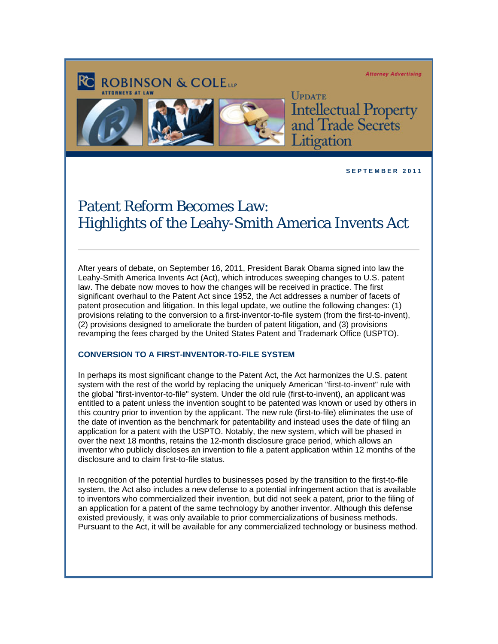#### **Attorney Advertising**



**ROBINSON & COLETT** 

**UPDATE Intellectual Property**<br>and Trade Secrets tigation

**S E P T E M B E R 2 0 1 1** 

# Patent Reform Becomes Law: Highlights of the Leahy-Smith America Invents Act

After years of debate, on September 16, 2011, President Barak Obama signed into law the Leahy-Smith America Invents Act (Act), which introduces sweeping changes to U.S. patent law. The debate now moves to how the changes will be received in practice. The first significant overhaul to the Patent Act since 1952, the Act addresses a number of facets of patent prosecution and litigation. In this legal update, we outline the following changes: (1) provisions relating to the conversion to a first-inventor-to-file system (from the first-to-invent), (2) provisions designed to ameliorate the burden of patent litigation, and (3) provisions revamping the fees charged by the United States Patent and Trademark Office (USPTO).

#### **CONVERSION TO A FIRST-INVENTOR-TO-FILE SYSTEM**

In perhaps its most significant change to the Patent Act, the Act harmonizes the U.S. patent system with the rest of the world by replacing the uniquely American "first-to-invent" rule with the global "first-inventor-to-file" system. Under the old rule (first-to-invent), an applicant was entitled to a patent unless the invention sought to be patented was known or used by others in this country prior to invention by the applicant. The new rule (first-to-file) eliminates the use of the date of invention as the benchmark for patentability and instead uses the date of filing an application for a patent with the USPTO. Notably, the new system, which will be phased in over the next 18 months, retains the 12-month disclosure grace period, which allows an inventor who publicly discloses an invention to file a patent application within 12 months of the disclosure and to claim first-to-file status.

In recognition of the potential hurdles to businesses posed by the transition to the first-to-file system, the Act also includes a new defense to a potential infringement action that is available to inventors who commercialized their invention, but did not seek a patent, prior to the filing of an application for a patent of the same technology by another inventor. Although this defense existed previously, it was only available to prior commercializations of business methods. Pursuant to the Act, it will be available for any commercialized technology or business method.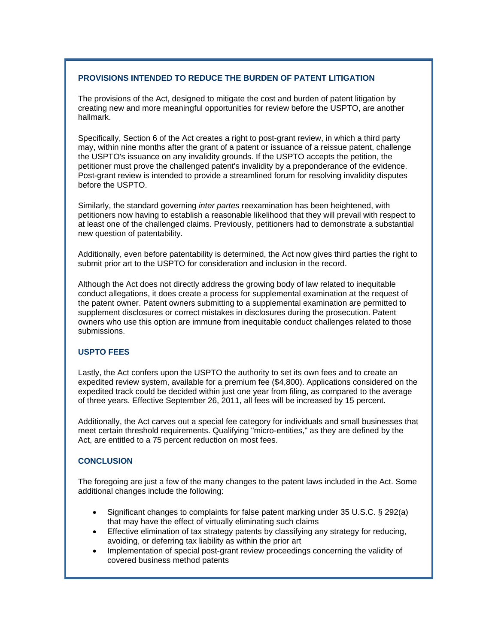### **PROVISIONS INTENDED TO REDUCE THE BURDEN OF PATENT LITIGATION**

The provisions of the Act, designed to mitigate the cost and burden of patent litigation by creating new and more meaningful opportunities for review before the USPTO, are another hallmark.

Specifically, Section 6 of the Act creates a right to post-grant review, in which a third party may, within nine months after the grant of a patent or issuance of a reissue patent, challenge the USPTO's issuance on any invalidity grounds. If the USPTO accepts the petition, the petitioner must prove the challenged patent's invalidity by a preponderance of the evidence. Post-grant review is intended to provide a streamlined forum for resolving invalidity disputes before the USPTO.

Similarly, the standard governing *inter partes* reexamination has been heightened, with petitioners now having to establish a reasonable likelihood that they will prevail with respect to at least one of the challenged claims. Previously, petitioners had to demonstrate a substantial new question of patentability.

Additionally, even before patentability is determined, the Act now gives third parties the right to submit prior art to the USPTO for consideration and inclusion in the record.

Although the Act does not directly address the growing body of law related to inequitable conduct allegations, it does create a process for supplemental examination at the request of the patent owner. Patent owners submitting to a supplemental examination are permitted to supplement disclosures or correct mistakes in disclosures during the prosecution. Patent owners who use this option are immune from inequitable conduct challenges related to those submissions.

#### **USPTO FEES**

Lastly, the Act confers upon the USPTO the authority to set its own fees and to create an expedited review system, available for a premium fee (\$4,800). Applications considered on the expedited track could be decided within just one year from filing, as compared to the average of three years. Effective September 26, 2011, all fees will be increased by 15 percent.

Additionally, the Act carves out a special fee category for individuals and small businesses that meet certain threshold requirements. Qualifying "micro-entities," as they are defined by the Act, are entitled to a 75 percent reduction on most fees.

### **CONCLUSION**

The foregoing are just a few of the many changes to the patent laws included in the Act. Some additional changes include the following:

- Significant changes to complaints for false patent marking under 35 U.S.C. § 292(a) that may have the effect of virtually eliminating such claims
- Effective elimination of tax strategy patents by classifying any strategy for reducing, avoiding, or deferring tax liability as within the prior art
- Implementation of special post-grant review proceedings concerning the validity of covered business method patents